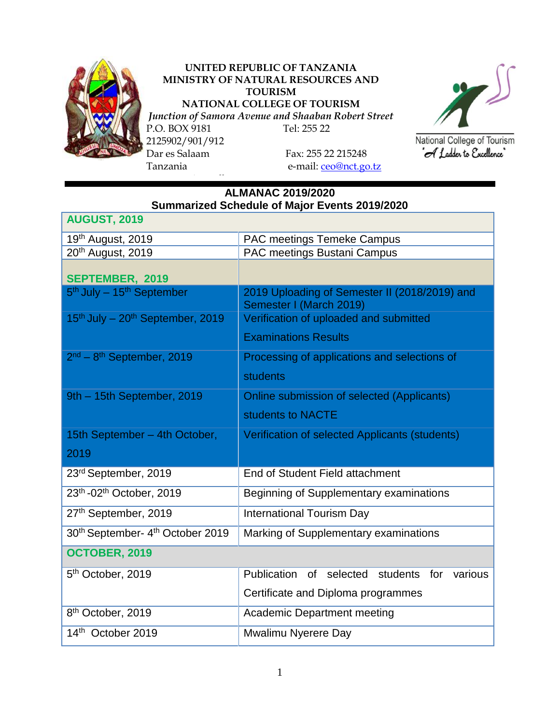

## **UNITED REPUBLIC OF TANZANIA MINISTRY OF NATURAL RESOURCES AND TOURISM NATIONAL COLLEGE OF TOURISM**

*Junction of Samora Avenue and Shaaban Robert Street*

P.O. BOX 9181 Tel: 255 22 2125902/901/912 Dar es Salaam Fax: 255 22 215248 Tanzania e-mail: [ceo@nct.go.tz](mailto:ceo@nct.go.tz)

ww.tourismcollege.go.tz



National College of Tourism "A Ladder to Excellence"

## **ALMANAC 2019/2020 Summarized Schedule of Major Events 2019/2020**

| <b>AUGUST, 2019</b>                                      |                                                                          |  |  |  |  |  |
|----------------------------------------------------------|--------------------------------------------------------------------------|--|--|--|--|--|
| 19th August, 2019                                        | PAC meetings Temeke Campus                                               |  |  |  |  |  |
| 20 <sup>th</sup> August, 2019                            | PAC meetings Bustani Campus                                              |  |  |  |  |  |
| SEPTEMBER, 2019                                          |                                                                          |  |  |  |  |  |
| 5 <sup>th</sup> July - 15 <sup>th</sup> September        | 2019 Uploading of Semester II (2018/2019) and<br>Semester I (March 2019) |  |  |  |  |  |
| 15 <sup>th</sup> July - 20 <sup>th</sup> September, 2019 | Verification of uploaded and submitted                                   |  |  |  |  |  |
|                                                          | <b>Examinations Results</b>                                              |  |  |  |  |  |
| 2 <sup>nd</sup> – 8 <sup>th</sup> September, 2019        | Processing of applications and selections of                             |  |  |  |  |  |
|                                                          | students                                                                 |  |  |  |  |  |
| 9th - 15th September, 2019                               | <b>Online submission of selected (Applicants)</b>                        |  |  |  |  |  |
|                                                          | students to NACTE                                                        |  |  |  |  |  |
| 15th September - 4th October,                            | Verification of selected Applicants (students)                           |  |  |  |  |  |
| 2019                                                     |                                                                          |  |  |  |  |  |
| 23rd September, 2019                                     | End of Student Field attachment                                          |  |  |  |  |  |
| 23th -02th October, 2019                                 | Beginning of Supplementary examinations                                  |  |  |  |  |  |
| 27th September, 2019                                     | <b>International Tourism Day</b>                                         |  |  |  |  |  |
| 30 <sup>th</sup> September- 4 <sup>th</sup> October 2019 | Marking of Supplementary examinations                                    |  |  |  |  |  |
| OCTOBER, 2019                                            |                                                                          |  |  |  |  |  |
| 5 <sup>th</sup> October, 2019                            | Publication<br>of selected<br>students<br>for<br>various                 |  |  |  |  |  |
|                                                          | Certificate and Diploma programmes                                       |  |  |  |  |  |
| 8 <sup>th</sup> October, 2019                            | <b>Academic Department meeting</b>                                       |  |  |  |  |  |
| 14th October 2019                                        | Mwalimu Nyerere Day                                                      |  |  |  |  |  |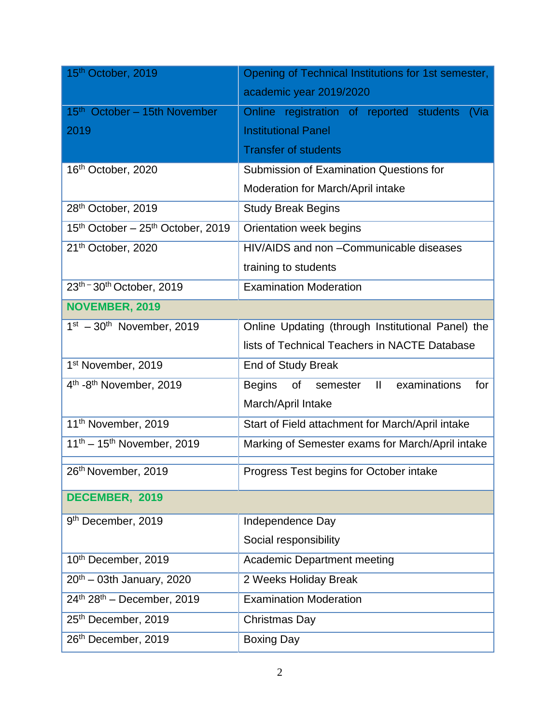| 15th October, 2019                                        | Opening of Technical Institutions for 1st semester,                     |
|-----------------------------------------------------------|-------------------------------------------------------------------------|
|                                                           | academic year 2019/2020                                                 |
| 15 <sup>th</sup> October - 15th November                  | Online registration of reported students<br>(Via                        |
| 2019                                                      | <b>Institutional Panel</b>                                              |
|                                                           | <b>Transfer of students</b>                                             |
| 16 <sup>th</sup> October, 2020                            | <b>Submission of Examination Questions for</b>                          |
|                                                           | Moderation for March/April intake                                       |
| 28th October, 2019                                        | <b>Study Break Begins</b>                                               |
| 15 <sup>th</sup> October - 25 <sup>th</sup> October, 2019 | Orientation week begins                                                 |
| 21th October, 2020                                        | HIV/AIDS and non - Communicable diseases                                |
|                                                           | training to students                                                    |
| 23th - 30th October, 2019                                 | <b>Examination Moderation</b>                                           |
| NOVEMBER, 2019                                            |                                                                         |
| $1st - 30th$ November, 2019                               | Online Updating (through Institutional Panel) the                       |
|                                                           | lists of Technical Teachers in NACTE Database                           |
| 1 <sup>st</sup> November, 2019                            | End of Study Break                                                      |
| 4 <sup>th</sup> -8 <sup>th</sup> November, 2019           | examinations<br>$\mathbf{II}$<br><b>Begins</b><br>of<br>for<br>semester |
|                                                           | March/April Intake                                                      |
| 11 <sup>th</sup> November, 2019                           | Start of Field attachment for March/April intake                        |
| $11^{th} - 15^{th}$ November, 2019                        | Marking of Semester exams for March/April intake                        |
| 26th November, 2019                                       | Progress Test begins for October intake                                 |
| DECEMBER, 2019                                            |                                                                         |
| 9 <sup>th</sup> December, 2019                            | Independence Day                                                        |
|                                                           | Social responsibility                                                   |
| 10th December, 2019                                       | <b>Academic Department meeting</b>                                      |
| $20^{th}$ – 03th January, 2020                            | 2 Weeks Holiday Break                                                   |
| $24^{th}$ 28 <sup>th</sup> – December, 2019               | <b>Examination Moderation</b>                                           |
| 25th December, 2019                                       | <b>Christmas Day</b>                                                    |
| 26th December, 2019                                       | <b>Boxing Day</b>                                                       |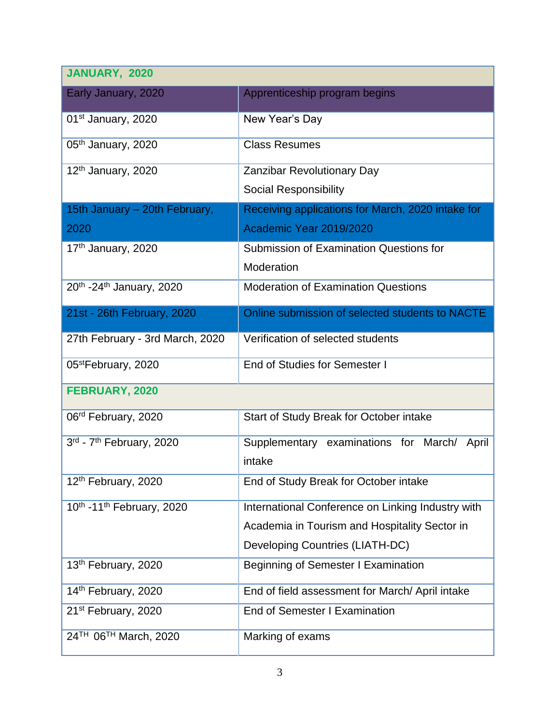| JANUARY, 2020                                     |                                                   |  |  |  |
|---------------------------------------------------|---------------------------------------------------|--|--|--|
| Early January, 2020                               | Apprenticeship program begins                     |  |  |  |
| 01 <sup>st</sup> January, 2020                    | New Year's Day                                    |  |  |  |
| 05 <sup>th</sup> January, 2020                    | <b>Class Resumes</b>                              |  |  |  |
| 12 <sup>th</sup> January, 2020                    | <b>Zanzibar Revolutionary Day</b>                 |  |  |  |
|                                                   | <b>Social Responsibility</b>                      |  |  |  |
| 15th January - 20th February,                     | Receiving applications for March, 2020 intake for |  |  |  |
| 2020                                              | Academic Year 2019/2020                           |  |  |  |
| 17 <sup>th</sup> January, 2020                    | <b>Submission of Examination Questions for</b>    |  |  |  |
|                                                   | Moderation                                        |  |  |  |
| 20 <sup>th</sup> -24 <sup>th</sup> January, 2020  | <b>Moderation of Examination Questions</b>        |  |  |  |
| 21st - 26th February, 2020                        | Online submission of selected students to NACTE   |  |  |  |
| 27th February - 3rd March, 2020                   | Verification of selected students                 |  |  |  |
| 05 <sup>st</sup> February, 2020                   | End of Studies for Semester I                     |  |  |  |
| FEBRUARY, 2020                                    |                                                   |  |  |  |
| 06 <sup>rd</sup> February, 2020                   | Start of Study Break for October intake           |  |  |  |
| 3rd - 7 <sup>th</sup> February, 2020              | Supplementary examinations for March/<br>April    |  |  |  |
|                                                   | intake                                            |  |  |  |
| 12th February, 2020                               | End of Study Break for October intake             |  |  |  |
| 10 <sup>th</sup> -11 <sup>th</sup> February, 2020 | International Conference on Linking Industry with |  |  |  |
|                                                   | Academia in Tourism and Hospitality Sector in     |  |  |  |
|                                                   | Developing Countries (LIATH-DC)                   |  |  |  |
| 13th February, 2020                               | <b>Beginning of Semester I Examination</b>        |  |  |  |
| 14th February, 2020                               | End of field assessment for March/ April intake   |  |  |  |
| 21 <sup>st</sup> February, 2020                   | End of Semester I Examination                     |  |  |  |
| 24 <sup>TH</sup> 06 <sup>TH</sup> March, 2020     | Marking of exams                                  |  |  |  |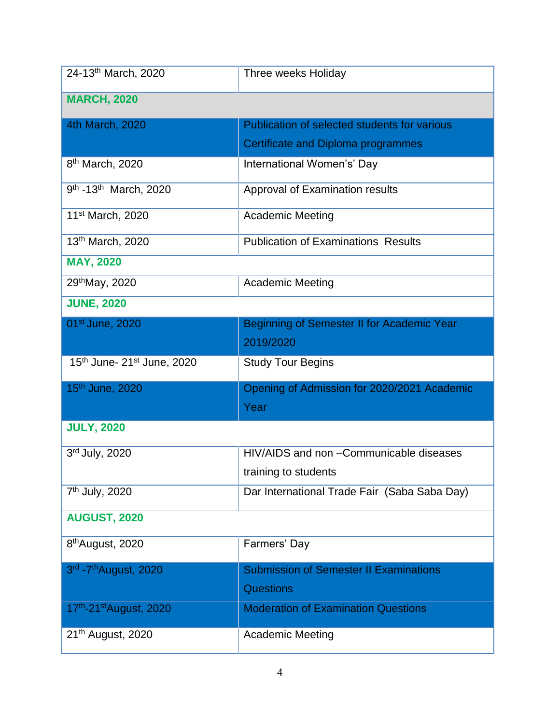| 24-13th March, 2020                           | Three weeks Holiday                           |
|-----------------------------------------------|-----------------------------------------------|
| <b>MARCH, 2020</b>                            |                                               |
| 4th March, 2020                               | Publication of selected students for various  |
|                                               | Certificate and Diploma programmes            |
| 8 <sup>th</sup> March, 2020                   | International Women's' Day                    |
| 9 <sup>th</sup> -13 <sup>th</sup> March, 2020 | Approval of Examination results               |
| 11 <sup>st</sup> March, 2020                  | <b>Academic Meeting</b>                       |
| 13th March, 2020                              | <b>Publication of Examinations Results</b>    |
| <b>MAY, 2020</b>                              |                                               |
| 29th May, 2020                                | <b>Academic Meeting</b>                       |
| <b>JUNE, 2020</b>                             |                                               |
| 01 <sup>st</sup> June, 2020                   | Beginning of Semester II for Academic Year    |
|                                               | 2019/2020                                     |
| 15th June- 21st June, 2020                    | <b>Study Tour Begins</b>                      |
| 15th June, 2020                               | Opening of Admission for 2020/2021 Academic   |
|                                               | Year                                          |
| <b>JULY, 2020</b>                             |                                               |
| 3rd July, 2020                                | HIV/AIDS and non - Communicable diseases      |
|                                               | training to students                          |
| 7 <sup>th</sup> July, 2020                    | Dar International Trade Fair (Saba Saba Day)  |
| <b>AUGUST, 2020</b>                           |                                               |
| 8 <sup>th</sup> August, 2020                  | Farmers' Day                                  |
| 3rd - 7 <sup>th</sup> August, 2020            | <b>Submission of Semester II Examinations</b> |
|                                               | <b>Questions</b>                              |
| 17th-21st August, 2020                        | <b>Moderation of Examination Questions</b>    |
| 21 <sup>th</sup> August, 2020                 | <b>Academic Meeting</b>                       |